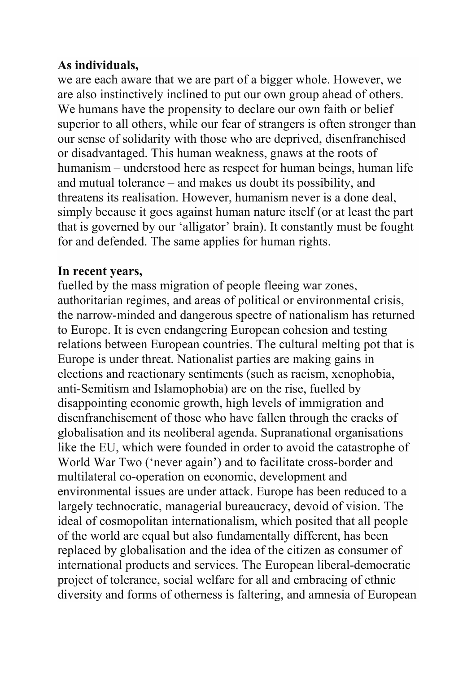## As individuals,

we are each aware that we are part of a bigger whole. However, we are also instinctively inclined to put our own group ahead of others. We humans have the propensity to declare our own faith or belief superior to all others, while our fear of strangers is often stronger than our sense of solidarity with those who are deprived, disenfranchised or disadvantaged. This human weakness, gnaws at the roots of humanism – understood here as respect for human beings, human life and mutual tolerance – and makes us doubt its possibility, and threatens its realisation. However, humanism never is a done deal, simply because it goes against human nature itself (or at least the part that is governed by our 'alligator' brain). It constantly must be fought for and defended. The same applies for human rights.

#### In recent years,

fuelled by the mass migration of people fleeing war zones, authoritarian regimes, and areas of political or environmental crisis, the narrow-minded and dangerous spectre of nationalism has returned to Europe. It is even endangering European cohesion and testing relations between European countries. The cultural melting pot that is Europe is under threat. Nationalist parties are making gains in elections and reactionary sentiments (such as racism, xenophobia, anti-Semitism and Islamophobia) are on the rise, fuelled by disappointing economic growth, high levels of immigration and disenfranchisement of those who have fallen through the cracks of globalisation and its neoliberal agenda. Supranational organisations like the EU, which were founded in order to avoid the catastrophe of World War Two ('never again') and to facilitate cross-border and multilateral co-operation on economic, development and environmental issues are under attack. Europe has been reduced to a largely technocratic, managerial bureaucracy, devoid of vision. The ideal of cosmopolitan internationalism, which posited that all people of the world are equal but also fundamentally different, has been replaced by globalisation and the idea of the citizen as consumer of international products and services. The European liberal-democratic project of tolerance, social welfare for all and embracing of ethnic diversity and forms of otherness is faltering, and amnesia of European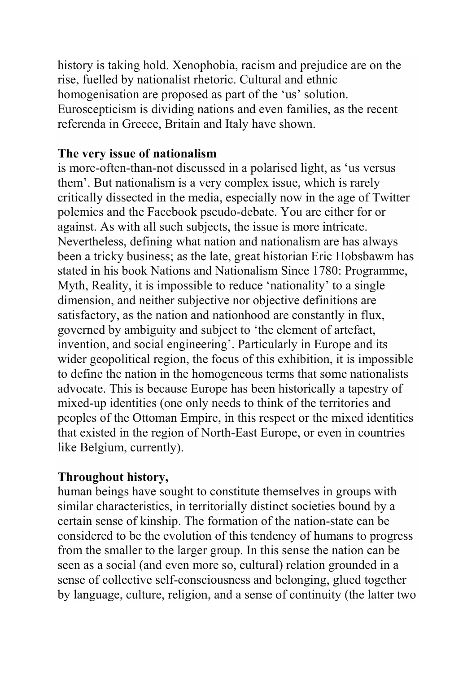history is taking hold. Xenophobia, racism and prejudice are on the rise, fuelled by nationalist rhetoric. Cultural and ethnic homogenisation are proposed as part of the 'us' solution. Euroscepticism is dividing nations and even families, as the recent referenda in Greece, Britain and Italy have shown.

#### The very issue of nationalism

is more-often-than-not discussed in a polarised light, as 'us versus them'. But nationalism is a very complex issue, which is rarely critically dissected in the media, especially now in the age of Twitter polemics and the Facebook pseudo-debate. You are either for or against. As with all such subjects, the issue is more intricate. Nevertheless, defining what nation and nationalism are has always been a tricky business; as the late, great historian Eric Hobsbawm has stated in his book Nations and Nationalism Since 1780: Programme, Myth, Reality, it is impossible to reduce 'nationality' to a single dimension, and neither subjective nor objective definitions are satisfactory, as the nation and nationhood are constantly in flux, governed by ambiguity and subject to 'the element of artefact, invention, and social engineering'. Particularly in Europe and its wider geopolitical region, the focus of this exhibition, it is impossible to define the nation in the homogeneous terms that some nationalists advocate. This is because Europe has been historically a tapestry of mixed-up identities (one only needs to think of the territories and peoples of the Ottoman Empire, in this respect or the mixed identities that existed in the region of North-East Europe, or even in countries like Belgium, currently).

### Throughout history,

human beings have sought to constitute themselves in groups with similar characteristics, in territorially distinct societies bound by a certain sense of kinship. The formation of the nation-state can be considered to be the evolution of this tendency of humans to progress from the smaller to the larger group. In this sense the nation can be seen as a social (and even more so, cultural) relation grounded in a sense of collective self-consciousness and belonging, glued together by language, culture, religion, and a sense of continuity (the latter two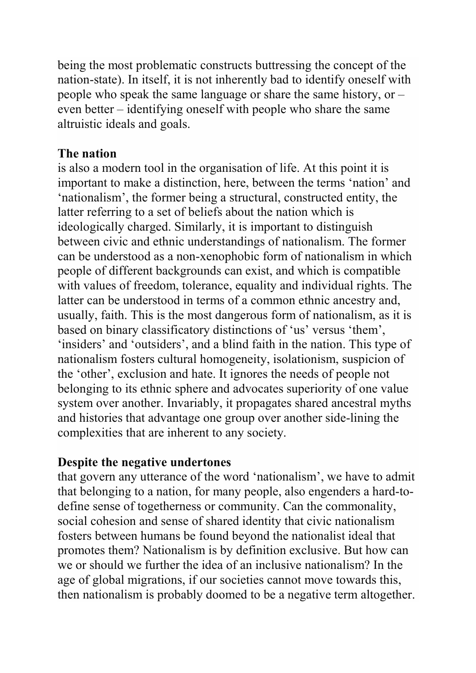being the most problematic constructs buttressing the concept of the nation-state). In itself, it is not inherently bad to identify oneself with people who speak the same language or share the same history, or – even better – identifying oneself with people who share the same altruistic ideals and goals.

### The nation

is also a modern tool in the organisation of life. At this point it is important to make a distinction, here, between the terms 'nation' and 'nationalism', the former being a structural, constructed entity, the latter referring to a set of beliefs about the nation which is ideologically charged. Similarly, it is important to distinguish between civic and ethnic understandings of nationalism. The former can be understood as a non-xenophobic form of nationalism in which people of different backgrounds can exist, and which is compatible with values of freedom, tolerance, equality and individual rights. The latter can be understood in terms of a common ethnic ancestry and, usually, faith. This is the most dangerous form of nationalism, as it is based on binary classificatory distinctions of 'us' versus 'them', 'insiders' and 'outsiders', and a blind faith in the nation. This type of nationalism fosters cultural homogeneity, isolationism, suspicion of the 'other', exclusion and hate. It ignores the needs of people not belonging to its ethnic sphere and advocates superiority of one value system over another. Invariably, it propagates shared ancestral myths and histories that advantage one group over another side-lining the complexities that are inherent to any society.

### Despite the negative undertones

that govern any utterance of the word 'nationalism', we have to admit that belonging to a nation, for many people, also engenders a hard-todefine sense of togetherness or community. Can the commonality, social cohesion and sense of shared identity that civic nationalism fosters between humans be found beyond the nationalist ideal that promotes them? Nationalism is by definition exclusive. But how can we or should we further the idea of an inclusive nationalism? In the age of global migrations, if our societies cannot move towards this, then nationalism is probably doomed to be a negative term altogether.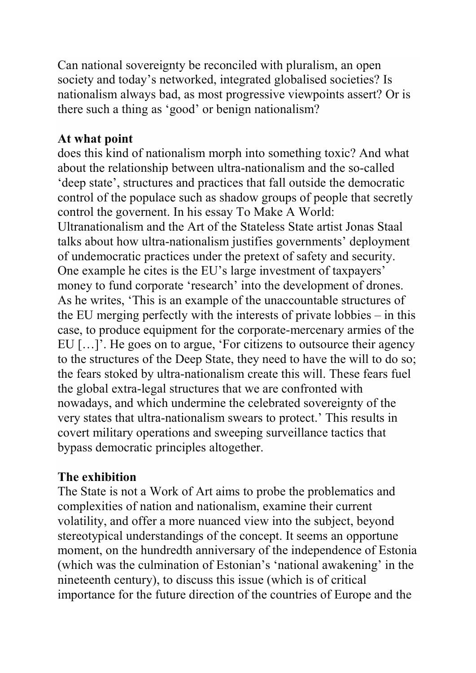Can national sovereignty be reconciled with pluralism, an open society and today's networked, integrated globalised societies? Is nationalism always bad, as most progressive viewpoints assert? Or is there such a thing as 'good' or benign nationalism?

# At what point

does this kind of nationalism morph into something toxic? And what about the relationship between ultra-nationalism and the so-called 'deep state', structures and practices that fall outside the democratic control of the populace such as shadow groups of people that secretly control the governent. In his essay To Make A World: Ultranationalism and the Art of the Stateless State artist Jonas Staal talks about how ultra-nationalism justifies governments' deployment of undemocratic practices under the pretext of safety and security. One example he cites is the EU's large investment of taxpayers' money to fund corporate 'research' into the development of drones. As he writes, 'This is an example of the unaccountable structures of the EU merging perfectly with the interests of private lobbies – in this case, to produce equipment for the corporate-mercenary armies of the EU […]'. He goes on to argue, 'For citizens to outsource their agency to the structures of the Deep State, they need to have the will to do so; the fears stoked by ultra-nationalism create this will. These fears fuel the global extra-legal structures that we are confronted with nowadays, and which undermine the celebrated sovereignty of the very states that ultra-nationalism swears to protect.' This results in covert military operations and sweeping surveillance tactics that bypass democratic principles altogether.

### The exhibition

The State is not a Work of Art aims to probe the problematics and complexities of nation and nationalism, examine their current volatility, and offer a more nuanced view into the subject, beyond stereotypical understandings of the concept. It seems an opportune moment, on the hundredth anniversary of the independence of Estonia (which was the culmination of Estonian's 'national awakening' in the nineteenth century), to discuss this issue (which is of critical importance for the future direction of the countries of Europe and the